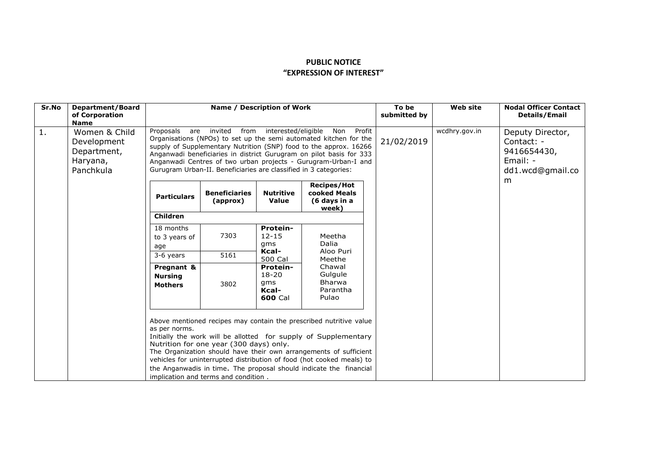## **PUBLIC NOTICE "EXPRESSION OF INTEREST"**

| Sr.No          | <b>Department/Board</b><br>of Corporation<br><b>Name</b>             | Name / Description of Work                                                                                                                                                                                                                                                                                                                                                                                                                                    |                                  |                                                                                                             |                                                                                                   | To be<br>submitted by | <b>Web site</b> | <b>Nodal Officer Contact</b><br><b>Details/Email</b>                          |
|----------------|----------------------------------------------------------------------|---------------------------------------------------------------------------------------------------------------------------------------------------------------------------------------------------------------------------------------------------------------------------------------------------------------------------------------------------------------------------------------------------------------------------------------------------------------|----------------------------------|-------------------------------------------------------------------------------------------------------------|---------------------------------------------------------------------------------------------------|-----------------------|-----------------|-------------------------------------------------------------------------------|
| $\mathbf{1}$ . | Women & Child<br>Development<br>Department,<br>Haryana,<br>Panchkula | Proposals are invited from interested/eligible<br>Non<br>Profit<br>Organisations (NPOs) to set up the semi automated kitchen for the<br>supply of Supplementary Nutrition (SNP) food to the approx. 16266<br>Anganwadi beneficiaries in district Gurugram on pilot basis for 333<br>Anganwadi Centres of two urban projects - Gurugram-Urban-I and<br>Gurugram Urban-II. Beneficiaries are classified in 3 categories:                                        |                                  |                                                                                                             |                                                                                                   | 21/02/2019            | wcdhry.gov.in   | Deputy Director,<br>Contact: -<br>9416654430,<br>Email: -<br>dd1.wcd@gmail.co |
|                |                                                                      | <b>Particulars</b>                                                                                                                                                                                                                                                                                                                                                                                                                                            | <b>Beneficiaries</b><br>(approx) | <b>Nutritive</b><br>Value                                                                                   | <b>Recipes/Hot</b><br>cooked Meals<br>(6 days in a<br>week)                                       |                       |                 | m                                                                             |
|                |                                                                      | <b>Children</b>                                                                                                                                                                                                                                                                                                                                                                                                                                               |                                  |                                                                                                             |                                                                                                   |                       |                 |                                                                               |
|                |                                                                      | 18 months<br>to 3 years of<br>age                                                                                                                                                                                                                                                                                                                                                                                                                             | 7303                             | Protein-<br>$12 - 15$<br>qms<br>Kcal-<br>500 Cal<br>Protein-<br>$18 - 20$<br>qms<br>Kcal-<br><b>600 Cal</b> | Meetha<br>Dalia<br>Aloo Puri<br>Meethe<br>Chawal<br>Gulgule<br><b>Bharwa</b><br>Parantha<br>Pulao |                       |                 |                                                                               |
|                |                                                                      | 3-6 years                                                                                                                                                                                                                                                                                                                                                                                                                                                     | 5161                             |                                                                                                             |                                                                                                   |                       |                 |                                                                               |
|                |                                                                      | Pregnant &<br><b>Nursing</b><br><b>Mothers</b>                                                                                                                                                                                                                                                                                                                                                                                                                | 3802                             |                                                                                                             |                                                                                                   |                       |                 |                                                                               |
|                |                                                                      | Above mentioned recipes may contain the prescribed nutritive value<br>as per norms.<br>Initially the work will be allotted for supply of Supplementary<br>Nutrition for one year (300 days) only.<br>The Organization should have their own arrangements of sufficient<br>vehicles for uninterrupted distribution of food (hot cooked meals) to<br>the Anganwadis in time. The proposal should indicate the financial<br>implication and terms and condition. |                                  |                                                                                                             |                                                                                                   |                       |                 |                                                                               |